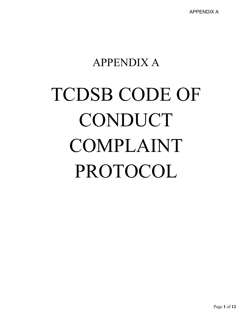## APPENDIX A

# TCDSB CODE OF CONDUCT COMPLAINT PROTOCOL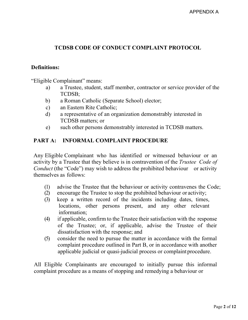#### **TCDSB CODE OF CONDUCT COMPLAINT PROTOCOL**

#### **Definitions:**

"Eligible Complainant" means:

- a) a Trustee, student, staff member, contractor or service provider of the TCDSB;
- b) a Roman Catholic (Separate School) elector;
- c) an Eastern Rite Catholic;
- d) a representative of an organization demonstrably interested in TCDSB matters; or
- e) such other persons demonstrably interested in TCDSB matters.

#### **PART A: INFORMAL COMPLAINT PROCEDURE**

Any Eligible Complainant who has identified or witnessed behaviour or an activity by a Trustee that they believe is in contravention of the *Trustee Code of Conduct* (the "Code") may wish to address the prohibited behaviour or activity themselves as follows:

- (1) advise the Trustee that the behaviour or activity contravenes the Code;
- (2) encourage the Trustee to stop the prohibited behaviour or activity;
- (3) keep a written record of the incidents including dates, times, locations, other persons present, and any other relevant information;
- (4) if applicable, confirm to the Trustee their satisfaction with the response of the Trustee; or, if applicable, advise the Trustee of their dissatisfaction with the response; and
- (5) consider the need to pursue the matter in accordance with the formal complaint procedure outlined in Part B, or in accordance with another applicable judicial or quasi-judicial process or complaint procedure.

All Eligible Complainants are encouraged to initially pursue this informal complaint procedure as a means of stopping and remedying a behaviour or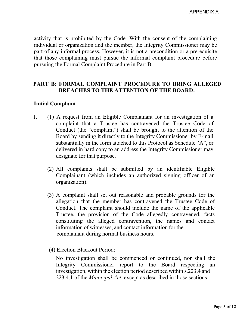activity that is prohibited by the Code*.* With the consent of the complaining individual or organization and the member, the Integrity Commissioner may be part of any informal process. However, it is not a precondition or a prerequisite that those complaining must pursue the informal complaint procedure before pursuing the Formal Complaint Procedure in Part B.

#### **PART B: FORMAL COMPLAINT PROCEDURE TO BRING ALLEGED BREACHES TO THE ATTENTION OF THE BOARD:**

#### **Initial Complaint**

- 1. (1) A request from an Eligible Complainant for an investigation of a complaint that a Trustee has contravened the Trustee Code of Conduct (the "complaint") shall be brought to the attention of the Board by sending it directly to the Integrity Commissioner by E-mail substantially in the form attached to this Protocol as Schedule "A", or delivered in hard copy to an address the Integrity Commissioner may designate for that purpose.
	- (2) All complaints shall be submitted by an identifiable Eligible Complainant (which includes an authorized signing officer of an organization).
	- (3) A complaint shall set out reasonable and probable grounds for the allegation that the member has contravened the Trustee Code of Conduct. The complaint should include the name of the applicable Trustee, the provision of the Code allegedly contravened, facts constituting the alleged contravention, the names and contact information of witnesses, and contact information for the complainant during normal business hours.
	- (4) Election Blackout Period:

No investigation shall be commenced or continued, nor shall the Integrity Commissioner report to the Board respecting an investigation, within the election period described within s.223.4 and 223.4.1 of the *Municipal Act*, except as described in those sections.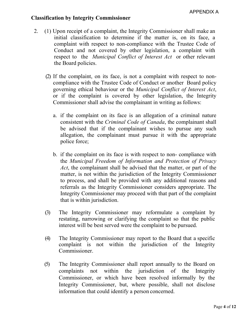#### **Classification by Integrity Commissioner**

- 2. (1) Upon receipt of a complaint, the Integrity Commissioner shall make an initial classification to determine if the matter is, on its face, a complaint with respect to non-compliance with the Trustee Code of Conduct and not covered by other legislation, a complaint with respect to the *Municipal Conflict of Interest Act* or other relevant the Board policies.
	- (2) If the complaint, on its face, is not a complaint with respect to noncompliance with the Trustee Code of Conduct or another Board policy governing ethical behaviour or the *Municipal Conflict of Interest Act*, or if the complaint is covered by other legislation, the Integrity Commissioner shall advise the complainant in writing as follows:
		- a. if the complaint on its face is an allegation of a criminal nature consistent with the *Criminal Code of Canada*, the complainant shall be advised that if the complainant wishes to pursue any such allegation, the complainant must pursue it with the appropriate police force;
		- b. if the complaint on its face is with respect to non- compliance with the *Municipal Freedom of Information and Protection of Privacy Act*, the complainant shall be advised that the matter, or part of the matter, is not within the jurisdiction of the Integrity Commissioner to process, and shall be provided with any additional reasons and referrals as the Integrity Commissioner considers appropriate. The Integrity Commissioner may proceed with that part of the complaint that is within jurisdiction.
	- (3) The Integrity Commissioner may reformulate a complaint by restating, narrowing or clarifying the complaint so that the public interest will be best served were the complaint to be pursued.
	- (4) The Integrity Commissioner may report to the Board that a specific complaint is not within the jurisdiction of the Integrity Commissioner.
	- (5) The Integrity Commissioner shall report annually to the Board on complaints not within the jurisdiction of the Integrity Commissioner, or which have been resolved informally by the Integrity Commissioner, but, where possible, shall not disclose information that could identify a person concerned.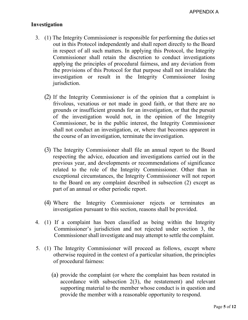#### **Investigation**

- 3. (1) The Integrity Commissioner is responsible for performing the duties set out in this Protocol independently and shall report directly to the Board in respect of all such matters. In applying this Protocol, the Integrity Commissioner shall retain the discretion to conduct investigations applying the principles of procedural fairness, and any deviation from the provisions of this Protocol for that purpose shall not invalidate the investigation or result in the Integrity Commissioner losing jurisdiction.
	- (2) If the Integrity Commissioner is of the opinion that a complaint is frivolous, vexatious or not made in good faith, or that there are no grounds or insufficient grounds for an investigation, or that the pursuit of the investigation would not, in the opinion of the Integrity Commissioner, be in the public interest, the Integrity Commissioner shall not conduct an investigation, or, where that becomes apparent in the course of an investigation, terminate the investigation.
	- (3) The Integrity Commissioner shall file an annual report to the Board respecting the advice, education and investigations carried out in the previous year, and developments or recommendations of significance related to the role of the Integrity Commissioner. Other than in exceptional circumstances, the Integrity Commissioner will not report to the Board on any complaint described in subsection (2) except as part of an annual or other periodic report.
	- (4) Where the Integrity Commissioner rejects or terminates an investigation pursuant to this section, reasons shall be provided.
- 4. (1) If a complaint has been classified as being within the Integrity Commissioner's jurisdiction and not rejected under section 3, the Commissioner shall investigate and may attempt to settle the complaint.
- 5. (1) The Integrity Commissioner will proceed as follows, except where otherwise required in the context of a particular situation, the principles of procedural fairness:
	- (a) provide the complaint (or where the complaint has been restated in accordance with subsection 2(3), the restatement) and relevant supporting material to the member whose conduct is in question and provide the member with a reasonable opportunity to respond.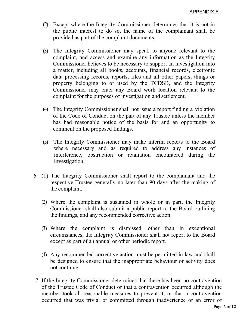- (2) Except where the Integrity Commissioner determines that it is not in the public interest to do so, the name of the complainant shall be provided as part of the complaint documents.
- (3) The Integrity Commissioner may speak to anyone relevant to the complaint, and access and examine any information as the Integrity Commissioner believes to be necessary to support an investigation into a matter, including all books, accounts, financial records, electronic data processing records, reports, files and all other papers, things or property belonging to or used by the TCDSB, and the Integrity Commissioner may enter any Board work location relevant to the complaint for the purposes of investigation and settlement.
- (4) The Integrity Commissioner shall not issue a report finding a violation of the Code of Conduct on the part of any Trustee unless the member has had reasonable notice of the basis for and an opportunity to comment on the proposed findings.
- (5) The Integrity Commissioner may make interim reports to the Board where necessary and as required to address any instances of interference, obstruction or retaliation encountered during the investigation.
- 6. (1) The Integrity Commissioner shall report to the complainant and the respective Trustee generally no later than 90 days after the making of the complaint.
	- (2) Where the complaint is sustained in whole or in part, the Integrity Commissioner shall also submit a public report to the Board outlining the findings, and any recommended corrective action.
	- (3) Where the complaint is dismissed, other than in exceptional circumstances, the Integrity Commissioner shall not report to the Board except as part of an annual or other periodic report.
	- (4) Any recommended corrective action must be permitted in law and shall be designed to ensure that the inappropriate behaviour or activity does not continue.
- 7. If the Integrity Commissioner determines that there has been no contravention of the Trustee Code of Conduct or that a contravention occurred although the member took all reasonable measures to prevent it, or that a contravention occurred that was trivial or committed through inadvertence or an error of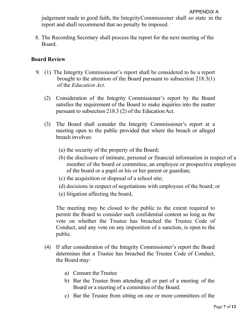judgement made in good faith, the IntegrityCommissioner shall so state in the report and shall recommend that no penalty be imposed.

8. The Recording Secretary shall process the report for the next meeting of the Board.

#### **Board Review**

- 9. (1) The Integrity Commissioner's report shall be considered to be a report brought to the attention of the Board pursuant to subsection 218.3(1) of the *Education Act*.
	- (2) Consideration of the Integrity Commissioner's report by the Board satisfies the requirement of the Board to make inquiries into the matter pursuant to subsection 218.3 (2) of the EducationAct.
	- (3) The Board shall consider the Integrity Commissioner's report at a meeting open to the public provided that where the breach or alleged breach involves:
		- (a) the security of the property of the Board;
		- (b) the disclosure of intimate, personal or financial information in respect of a member of the board or committee, an employee or prospective employee of the board or a pupil or his or her parent or guardian;
		- (c) the acquisition or disposal of a school site;
		- (d) decisions in respect of negotiations with employees of the board; or
		- (e) litigation affecting the board,

The meeting may be closed to the public to the extent required to permit the Board to consider such confidential content so long as the vote on whether the Trustee has breached the Trustee Code of Conduct, and any vote on any imposition of a sanction, is open to the public.

- (4) If after consideration of the Integrity Commissioner's report the Board determines that a Trustee has breached the Trustee Code of Conduct, the Board may:
	- a) Censure the Trustee
	- b) Bar the Trustee from attending all or part of a meeting of the Board or a meeting of a committee of the Board.
	- c) Bar the Trustee from sitting on one or more committees of the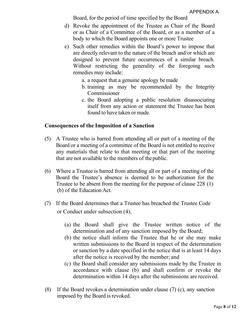Board, for the period of time specified by the Board

- d) Revoke the appointment of the Trustee as Chair of the Board or as Chair of a Committee of the Board, or as a member of a body to which the Board appoints one or more Trustee
- e) Such other remedies within the Board's power to impose that are directly relevant to the nature of the breach and/or which are designed to prevent future occurrences of a similar breach. Without restricting the generality of the foregoing such remedies may include:
	- a. a request that a genuine apology bemade
	- b. training as may be recommended by the Integrity Commissioner
	- c. the Board adopting a public resolution disassociating itself from any action or statement the Trustee has been found to have taken or made.

#### **Consequences of the Imposition of a Sanction**

- (5) A Trustee who is barred from attending all or part of a meeting of the Board or a meeting of a committee of the Board is not entitled to receive any materials that relate to that meeting or that part of the meeting that are not available to the members of thepublic.
- (6) Where a Trustee is barred from attending all or part of a meeting of the Board the Trustee's absence is deemed to be authorization for the Trustee to be absent from the meeting for the purpose of clause 228 (1) (b) of the Education Act.
- (7) If the Board determines that a Trustee has breached the Trustee Code or Conduct under subsection (4),
	- (a) the Board shall give the Trustee written notice of the determination and of any sanction imposed by the Board;
	- (b) the notice shall inform the Trustee that he or she may make written submissions to the Board in respect of the determination or sanction by a date specified in the notice that is at least 14 days after the notice is received by the member; and
	- (c) the Board shall consider any submissions made by the Trustee in accordance with clause (b) and shall confirm or revoke the determination within 14 days after the submissions are received.
- (8) If the Board revokes a determination under clause (7) (c), any sanction imposed by the Board is revoked.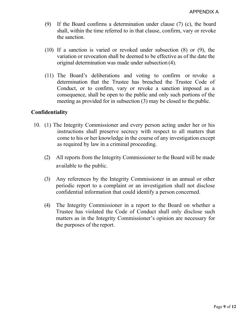- (9) If the Board confirms a determination under clause (7) (c), the board shall, within the time referred to in that clause, confirm, vary or revoke the sanction.
- (10) If a sanction is varied or revoked under subsection (8) or (9), the variation or revocation shall be deemed to be effective as of the date the original determination was made under subsection (4).
- (11) The Board's deliberations and voting to confirm or revoke a determination that the Trustee has breached the Trustee Code of Conduct, or to confirm, vary or revoke a sanction imposed as a consequence, shall be open to the public and only such portions of the meeting as provided for in subsection (3) may be closed to the public.

#### **Confidentiality**

- 10. (1) The Integrity Commissioner and every person acting under her or his instructions shall preserve secrecy with respect to all matters that come to his or her knowledge in the course of any investigation except as required by law in a criminal proceeding.
	- (2) All reports from the Integrity Commissioner to the Board will be made available to the public.
	- (3) Any references by the Integrity Commissioner in an annual or other periodic report to a complaint or an investigation shall not disclose confidential information that could identify a person concerned.
	- (4) The Integrity Commissioner in a report to the Board on whether a Trustee has violated the Code of Conduct shall only disclose such matters as in the Integrity Commissioner's opinion are necessary for the purposes of the report.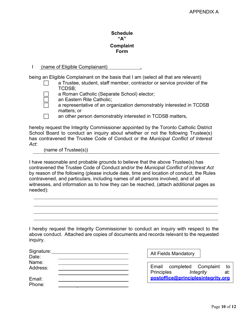#### **Schedule "A" Complaint Form**

#### I (name of Eligible Complainant) ,

being an Eligible Complainant on the basis that I am (select all that are relevant)

 a Trustee, student, staff member, contractor or service provider of the TCDSB;

a Roman Catholic (Separate School) elector;

an Eastern Rite Catholic;

 a representative of an organization demonstrably interested in TCDSB matters; or

an other person demonstrably interested in TCDSB matters,

hereby request the Integrity Commissioner appointed by the Toronto Catholic District School Board to conduct an inquiry about whether or not the following Trustee(s) has contravened the Trustee Code of Conduct or the *Municipal Conflict of Interest Act*:

(name of Trustee(s))

I have reasonable and probable grounds to believe that the above Trustee(s) has contravened the Trustee Code of Conduct and/or the *Municipal Conflict of Interest Act*  by reason of the following (please include date, time and location of conduct, the Rules contravened, and particulars, including names of all persons involved, and of all witnesses, and information as to how they can be reached, (attach additional pages as needed):

I hereby request the Integrity Commissioner to conduct an inquiry with respect to the above conduct. Attached are copies of documents and records relevant to the requested inquiry.

| Signature:<br>Date: | <b>All Fields Mandatory</b>                                       |
|---------------------|-------------------------------------------------------------------|
| Name:<br>Address:   | Email completed Complaint<br>to<br>Principles<br>Integrity<br>at: |
| Email:<br>Phone:    | postoffice@principlesintegrity.org                                |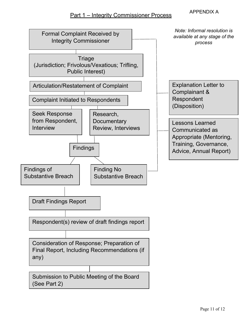### APPENDIX A Part 1 – Integrity Commissioner Process